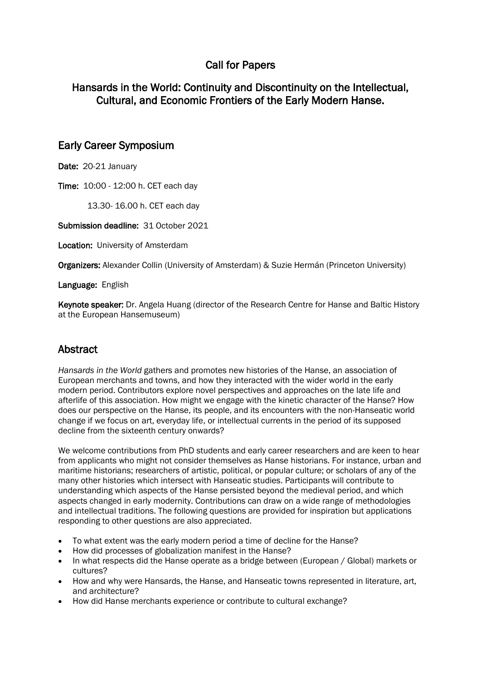# Call for Papers

### Hansards in the World: Continuity and Discontinuity on the Intellectual, Cultural, and Economic Frontiers of the Early Modern Hanse.

#### Early Career Symposium

Date: 20-21 January

Time: 10:00 - 12:00 h. CET each day

13.30- 16.00 h. CET each day

Submission deadline: 31 October 2021

Location: University of Amsterdam

Organizers: Alexander Collin (University of Amsterdam) & Suzie Hermán (Princeton University)

Language: English

Keynote speaker: Dr. Angela Huang (director of the Research Centre for Hanse and Baltic History at the European Hansemuseum)

## Abstract

*Hansards in the World* gathers and promotes new histories of the Hanse, an association of European merchants and towns, and how they interacted with the wider world in the early modern period. Contributors explore novel perspectives and approaches on the late life and afterlife of this association. How might we engage with the kinetic character of the Hanse? How does our perspective on the Hanse, its people, and its encounters with the non-Hanseatic world change if we focus on art, everyday life, or intellectual currents in the period of its supposed decline from the sixteenth century onwards?

We welcome contributions from PhD students and early career researchers and are keen to hear from applicants who might not consider themselves as Hanse historians. For instance, urban and maritime historians; researchers of artistic, political, or popular culture; or scholars of any of the many other histories which intersect with Hanseatic studies. Participants will contribute to understanding which aspects of the Hanse persisted beyond the medieval period, and which aspects changed in early modernity. Contributions can draw on a wide range of methodologies and intellectual traditions. The following questions are provided for inspiration but applications responding to other questions are also appreciated.

- To what extent was the early modern period a time of decline for the Hanse?
- How did processes of globalization manifest in the Hanse?
- In what respects did the Hanse operate as a bridge between (European / Global) markets or cultures?
- How and why were Hansards, the Hanse, and Hanseatic towns represented in literature, art, and architecture?
- How did Hanse merchants experience or contribute to cultural exchange?